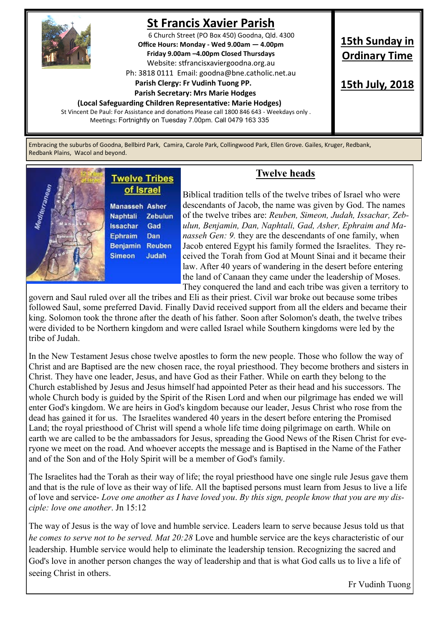

# **St Francis Xavier Parish**

6 Church Street (PO Box 450) Goodna, Qld. 4300 **Office Hours: Monday - Wed 9.00am — 4.00pm Friday 9.00am –4.00pm Closed Thursdays**  Website: stfrancisxaviergoodna.org.au

Ph: 3818 0111 Email: goodna@bne.catholic.net.au

#### **Parish Clergy: Fr Vudinh Tuong PP.**

#### **Parish Secretary: Mrs Marie Hodges**

**(Local Safeguarding Children Representative: Marie Hodges)**

St Vincent De Paul: For Assistance and donations Please call 1800 846 643 - Weekdays only . Meetings: Fortnightly on Tuesday 7.00pm. Call 0479 163 335

**15th Sunday in Ordinary Time**

**15th July, 2018**

Embracing the suburbs of Goodna, Bellbird Park, Camira, Carole Park, Collingwood Park, Ellen Grove. Gailes, Kruger, Redbank, Redbank Plains, Wacol and beyond.

## **Twelve Tribes** of Israel

**Manasseh Asher** Naphtali Zebulun **Issachar** Gad Dan **Ephraim** Benjamin Reuben **Simeon** Judah

### **Twelve heads**

Biblical tradition tells of the twelve tribes of Israel who were descendants of Jacob, the name was given by God. The names of the twelve tribes are: *Reuben, Simeon, Judah, Issachar, Zebulun, Benjamin, Dan, Naphtali, Gad, Asher, Ephraim and Manasseh Gen: 9.* they are the descendants of one family, when Jacob entered Egypt his family formed the Israelites. They received the Torah from God at Mount Sinai and it became their law. After 40 years of wandering in the desert before entering the land of Canaan they came under the leadership of Moses. They conquered the land and each tribe was given a territory to

govern and Saul ruled over all the tribes and Eli as their priest. Civil war broke out because some tribes followed Saul, some preferred David. Finally David received support from all the elders and became their king. Solomon took the throne after the death of his father. Soon after Solomon's death, the twelve tribes were divided to be Northern kingdom and were called Israel while Southern kingdoms were led by the tribe of Judah.

In the New Testament Jesus chose twelve apostles to form the new people. Those who follow the way of Christ and are Baptised are the new chosen race, the royal priesthood. They become brothers and sisters in Christ. They have one leader, Jesus, and have God as their Father. While on earth they belong to the Church established by Jesus and Jesus himself had appointed Peter as their head and his successors. The whole Church body is guided by the Spirit of the Risen Lord and when our pilgrimage has ended we will enter God's kingdom. We are heirs in God's kingdom because our leader, Jesus Christ who rose from the dead has gained it for us. The Israelites wandered 40 years in the desert before entering the Promised Land; the royal priesthood of Christ will spend a whole life time doing pilgrimage on earth. While on earth we are called to be the ambassadors for Jesus, spreading the Good News of the Risen Christ for everyone we meet on the road. And whoever accepts the message and is Baptised in the Name of the Father and of the Son and of the Holy Spirit will be a member of God's family.

The Israelites had the Torah as their way of life; the royal priesthood have one single rule Jesus gave them and that is the rule of love as their way of life. All the baptised persons must learn from Jesus to live a life of love and service- *Love one another as I have loved you*. *By this sign, people know that you are my disciple: love one another*. Jn 15:12

The way of Jesus is the way of love and humble service. Leaders learn to serve because Jesus told us that *he comes to serve not to be served. Mat 20:28* Love and humble service are the keys characteristic of our leadership. Humble service would help to eliminate the leadership tension. Recognizing the sacred and God's love in another person changes the way of leadership and that is what God calls us to live a life of seeing Christ in others.

Fr Vudinh Tuong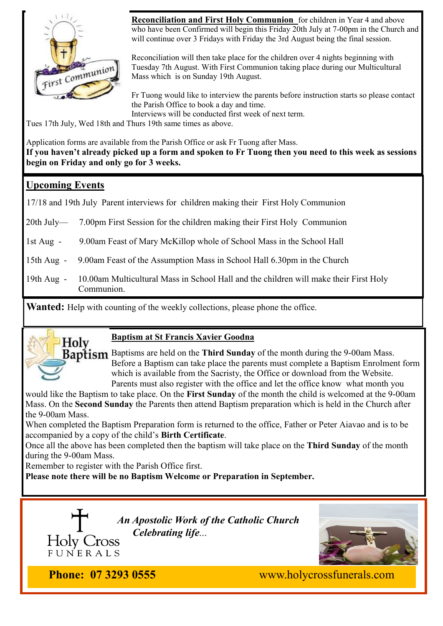

**Reconciliation and First Holy Communion** for children in Year 4 and above who have been Confirmed will begin this Friday 20th July at 7-00pm in the Church and will continue over 3 Fridays with Friday the 3rd August being the final session.

Reconciliation will then take place for the children over 4 nights beginning with Tuesday 7th August. With First Communion taking place during our Multicultural Mass which is on Sunday 19th August.

Fr Tuong would like to interview the parents before instruction starts so please contact the Parish Office to book a day and time. Interviews will be conducted first week of next term.

Tues 17th July, Wed 18th and Thurs 19th same times as above.

Application forms are available from the Parish Office or ask Fr Tuong after Mass.

**If you haven't already picked up a form and spoken to Fr Tuong then you need to this week as sessions begin on Friday and only go for 3 weeks.** 

### **Upcoming Events**

17/18 and 19th July Parent interviews for children making their First Holy Communion

20th July— 7.00pm First Session for the children making their First Holy Communion

1st Aug - 9.00am Feast of Mary McKillop whole of School Mass in the School Hall

15th Aug - 9.00am Feast of the Assumption Mass in School Hall 6.30pm in the Church

19th Aug - 10.00am Multicultural Mass in School Hall and the children will make their First Holy Communion.

**Wanted:** Help with counting of the weekly collections, please phone the office.



#### **Baptism at St Francis Xavier Goodna**

Baptisms are held on the **Third Sunday** of the month during the 9-00am Mass. Before a Baptism can take place the parents must complete a Baptism Enrolment form which is available from the Sacristy, the Office or download from the Website. Parents must also register with the office and let the office know what month you

would like the Baptism to take place. On the **First Sunday** of the month the child is welcomed at the 9-00am Mass. On the **Second Sunday** the Parents then attend Baptism preparation which is held in the Church after the 9-00am Mass.

When completed the Baptism Preparation form is returned to the office, Father or Peter Aiavao and is to be accompanied by a copy of the child's **Birth Certificate**.

Once all the above has been completed then the baptism will take place on the **Third Sunday** of the month during the 9-00am Mass.

Remember to register with the Parish Office first.

**Please note there will be no Baptism Welcome or Preparation in September.** 



*An Apostolic Work of the Catholic Church Celebrating life...*



**Phone: 07 3293 0555** www.holycrossfunerals.com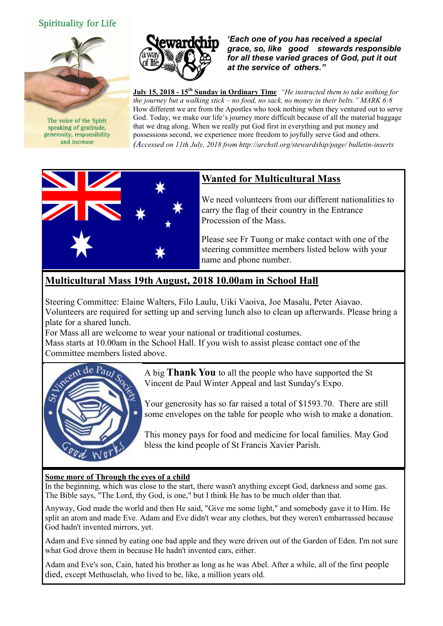#### Spirituality for Life



The voice of the Spirit speaking of gratitude. generosity, responsibility and increase



*'Each one of you has received a special grace, so, like good stewards responsible for all these varied graces of God, put it out at the service of others."* 

**July 15, 2018 - 15th Sunday in Ordinary Time** *"He instructed them to take nothing for the journey but a walking stick – no food, no sack, no money in their belts." MARK 6:8* How different we are from the Apostles who took nothing when they ventured out to serve God. Today, we make our life's journey more difficult because of all the material baggage that we drag along. When we really put God first in everything and put money and possessions second, we experience more freedom to joyfully serve God and others. *(Accessed on 11th July, 2018 from http://archstl.org/stewardship/page/ bulletin-inserts*



## **Wanted for Multicultural Mass**

We need volunteers from our different nationalities to carry the flag of their country in the Entrance Procession of the Mass.

Please see Fr Tuong or make contact with one of the steering committee members listed below with your name and phone number.

## **Multicultural Mass 19th August, 2018 10.00am in School Hall**

Steering Committee: Elaine Walters, Filo Laulu, Uiki Vaoiva, Joe Masalu, Peter Aiavao. Volunteers are required for setting up and serving lunch also to clean up afterwards. Please bring a plate for a shared lunch.

For Mass all are welcome to wear your national or traditional costumes.

Mass starts at 10.00am in the School Hall. If you wish to assist please contact one of the Committee members listed above.



A big **Thank You** to all the people who have supported the St Vincent de Paul Winter Appeal and last Sunday's Expo.

Your generosity has so far raised a total of \$1593.70. There are still some envelopes on the table for people who wish to make a donation.

This money pays for food and medicine for local families. May God bless the kind people of St Francis Xavier Parish.

#### **Some more of Through the eyes of a child**

In the beginning, which was close to the start, there wasn't anything except God, darkness and some gas. The Bible says, "The Lord, thy God, is one," but I think He has to be much older than that.

Anyway, God made the world and then He said, "Give me some light," and somebody gave it to Him. He split an atom and made Eve. Adam and Eve didn't wear any clothes, but they weren't embarrassed because God hadn't invented mirrors, yet.

Adam and Eve sinned by eating one bad apple and they were driven out of the Garden of Eden. I'm not sure what God drove them in because He hadn't invented cars, either.

Adam and Eve's son, Cain, hated his brother as long as he was Abel. After a while, all of the first people died, except Methuselah, who lived to be, like, a million years old.